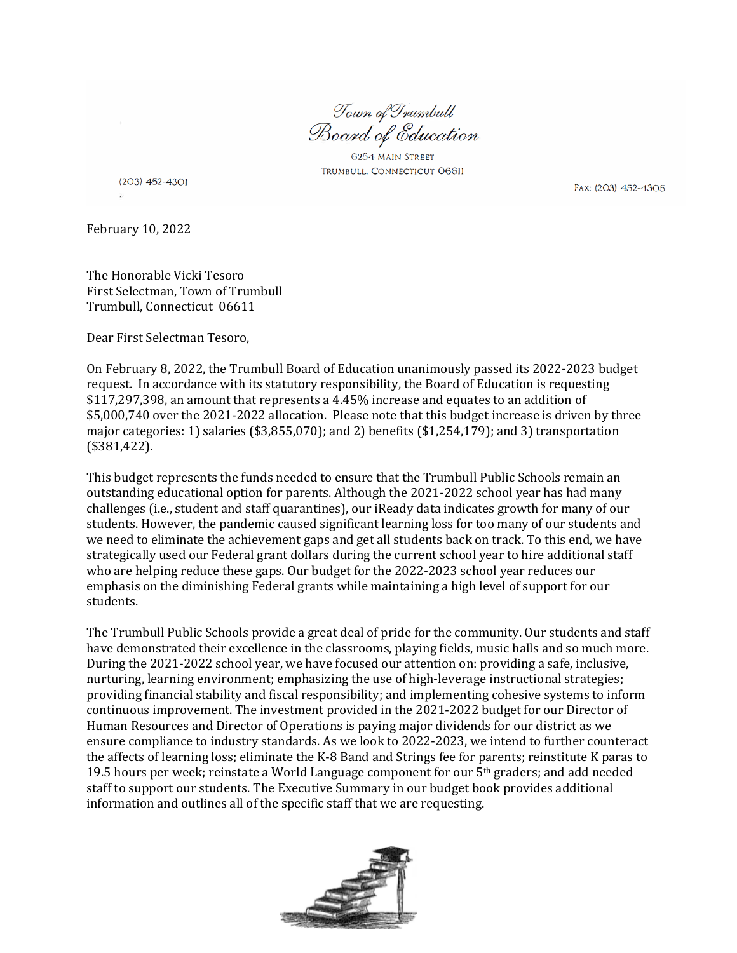Town of Trumbull Board of Education

6254 MAIN STREET TRUMBULL, CONNECTICUT O6611

 $(203)$  452-4301

FAX: (203) 452-4305

February 10, 2022

The Honorable Vicki Tesoro First Selectman, Town of Trumbull Trumbull, Connecticut 06611

Dear First Selectman Tesoro,

On February 8, 2022, the Trumbull Board of Education unanimously passed its 2022-2023 budget request. In accordance with its statutory responsibility, the Board of Education is requesting \$117,297,398, an amount that represents a 4.45% increase and equates to an addition of \$5,000,740 over the 2021-2022 allocation. Please note that this budget increase is driven by three major categories: 1) salaries (\$3,855,070); and 2) benefits (\$1,254,179); and 3) transportation (\$381,422).

This budget represents the funds needed to ensure that the Trumbull Public Schools remain an outstanding educational option for parents. Although the 2021-2022 school year has had many challenges (i.e., student and staff quarantines), our iReady data indicates growth for many of our students. However, the pandemic caused significant learning loss for too many of our students and we need to eliminate the achievement gaps and get all students back on track. To this end, we have strategically used our Federal grant dollars during the current school year to hire additional staff who are helping reduce these gaps. Our budget for the 2022-2023 school year reduces our emphasis on the diminishing Federal grants while maintaining a high level of support for our students.

The Trumbull Public Schools provide a great deal of pride for the community. Our students and staff have demonstrated their excellence in the classrooms, playing fields, music halls and so much more. During the 2021-2022 school year, we have focused our attention on: providing a safe, inclusive, nurturing, learning environment; emphasizing the use of high-leverage instructional strategies; providing financial stability and fiscal responsibility; and implementing cohesive systems to inform continuous improvement. The investment provided in the 2021-2022 budget for our Director of Human Resources and Director of Operations is paying major dividends for our district as we ensure compliance to industry standards. As we look to 2022-2023, we intend to further counteract the affects of learning loss; eliminate the K-8 Band and Strings fee for parents; reinstitute K paras to 19.5 hours per week; reinstate a World Language component for our 5th graders; and add needed staff to support our students. The Executive Summary in our budget book provides additional information and outlines all of the specific staff that we are requesting.